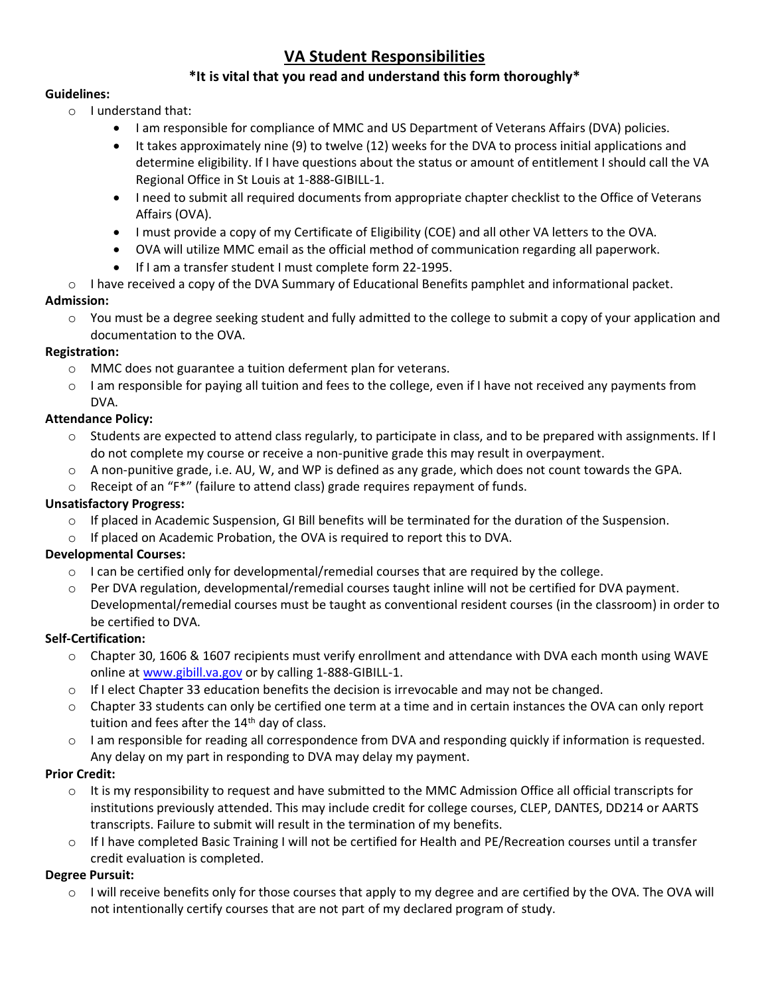## **VA Student Responsibilities**

## **\*It is vital that you read and understand this form thoroughly\***

#### **Guidelines:**

- o I understand that:
	- I am responsible for compliance of MMC and US Department of Veterans Affairs (DVA) policies.
	- It takes approximately nine (9) to twelve (12) weeks for the DVA to process initial applications and determine eligibility. If I have questions about the status or amount of entitlement I should call the VA Regional Office in St Louis at 1-888-GIBILL-1.
	- I need to submit all required documents from appropriate chapter checklist to the Office of Veterans Affairs (OVA).
	- I must provide a copy of my Certificate of Eligibility (COE) and all other VA letters to the OVA.
	- OVA will utilize MMC email as the official method of communication regarding all paperwork.
	- If I am a transfer student I must complete form 22-1995.
- o I have received a copy of the DVA Summary of Educational Benefits pamphlet and informational packet.

#### **Admission:**

o You must be a degree seeking student and fully admitted to the college to submit a copy of your application and documentation to the OVA.

#### **Registration:**

- o MMC does not guarantee a tuition deferment plan for veterans.
- o I am responsible for paying all tuition and fees to the college, even if I have not received any payments from DVA.

## **Attendance Policy:**

- o Students are expected to attend class regularly, to participate in class, and to be prepared with assignments. If I do not complete my course or receive a non-punitive grade this may result in overpayment.
- o A non-punitive grade, i.e. AU, W, and WP is defined as any grade, which does not count towards the GPA.
- $\circ$  Receipt of an "F\*" (failure to attend class) grade requires repayment of funds.

#### **Unsatisfactory Progress:**

- $\circ$  If placed in Academic Suspension, GI Bill benefits will be terminated for the duration of the Suspension.
- o If placed on Academic Probation, the OVA is required to report this to DVA.

#### **Developmental Courses:**

- $\circ$  I can be certified only for developmental/remedial courses that are required by the college.
- o Per DVA regulation, developmental/remedial courses taught inline will not be certified for DVA payment. Developmental/remedial courses must be taught as conventional resident courses (in the classroom) in order to be certified to DVA.

#### **Self-Certification:**

- o Chapter 30, 1606 & 1607 recipients must verify enrollment and attendance with DVA each month using WAVE online at [www.gibill.va.gov](http://www.gibill.va.gov/) or by calling 1-888-GIBILL-1.
- $\circ$  If I elect Chapter 33 education benefits the decision is irrevocable and may not be changed.
- $\circ$  Chapter 33 students can only be certified one term at a time and in certain instances the OVA can only report tuition and fees after the 14<sup>th</sup> day of class.
- o I am responsible for reading all correspondence from DVA and responding quickly if information is requested. Any delay on my part in responding to DVA may delay my payment.

#### **Prior Credit:**

- o It is my responsibility to request and have submitted to the MMC Admission Office all official transcripts for institutions previously attended. This may include credit for college courses, CLEP, DANTES, DD214 or AARTS transcripts. Failure to submit will result in the termination of my benefits.
- $\circ$  If I have completed Basic Training I will not be certified for Health and PE/Recreation courses until a transfer credit evaluation is completed.

#### **Degree Pursuit:**

o I will receive benefits only for those courses that apply to my degree and are certified by the OVA. The OVA will not intentionally certify courses that are not part of my declared program of study.